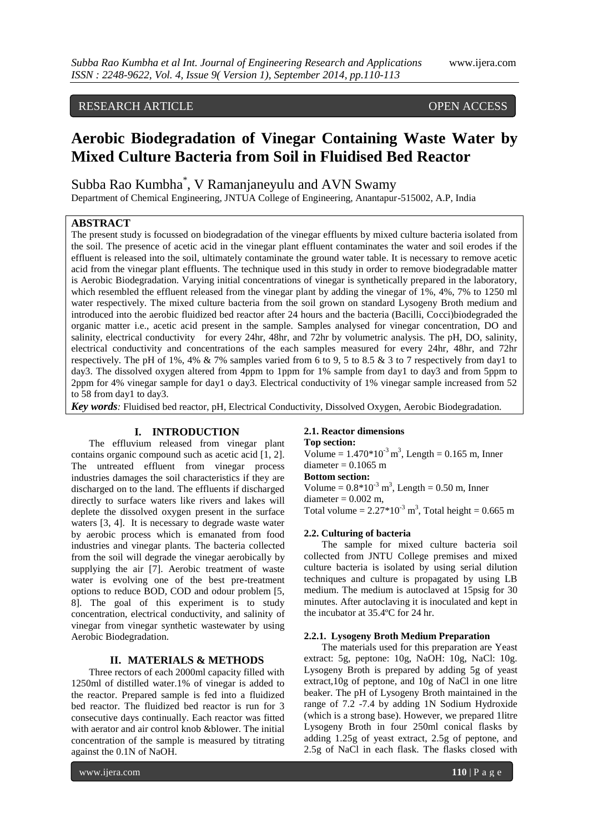## RESEARCH ARTICLE OPEN ACCESS

# **Aerobic Biodegradation of Vinegar Containing Waste Water by Mixed Culture Bacteria from Soil in Fluidised Bed Reactor**

Subba Rao Kumbha\* , V Ramanjaneyulu and AVN Swamy

Department of Chemical Engineering, JNTUA College of Engineering, Anantapur-515002, A.P, India

## **ABSTRACT**

The present study is focussed on biodegradation of the vinegar effluents by mixed culture bacteria isolated from the soil. The presence of acetic acid in the vinegar plant effluent contaminates the water and soil erodes if the effluent is released into the soil, ultimately contaminate the ground water table. It is necessary to remove acetic acid from the vinegar plant effluents. The technique used in this study in order to remove biodegradable matter is Aerobic Biodegradation. Varying initial concentrations of vinegar is synthetically prepared in the laboratory, which resembled the effluent released from the vinegar plant by adding the vinegar of 1%, 4%, 7% to 1250 ml water respectively. The mixed culture bacteria from the soil grown on standard Lysogeny Broth medium and introduced into the aerobic fluidized bed reactor after 24 hours and the bacteria (Bacilli, Cocci)biodegraded the organic matter i.e., acetic acid present in the sample. Samples analysed for vinegar concentration, DO and salinity, electrical conductivity for every 24hr, 48hr, and 72hr by volumetric analysis. The pH, DO, salinity, electrical conductivity and concentrations of the each samples measured for every 24hr, 48hr, and 72hr respectively. The pH of 1%, 4% & 7% samples varied from 6 to 9, 5 to 8.5 & 3 to 7 respectively from day1 to day3. The dissolved oxygen altered from 4ppm to 1ppm for 1% sample from day1 to day3 and from 5ppm to 2ppm for 4% vinegar sample for day1 o day3. Electrical conductivity of 1% vinegar sample increased from 52 to 58 from day1 to day3.

*Key words:* Fluidised bed reactor, pH, Electrical Conductivity, Dissolved Oxygen, Aerobic Biodegradation*.*

## **I. INTRODUCTION**

The effluvium released from vinegar plant contains organic compound such as acetic acid [1, 2]. The untreated effluent from vinegar process industries damages the soil characteristics if they are discharged on to the land. The effluents if discharged directly to surface waters like rivers and lakes will deplete the dissolved oxygen present in the surface waters [3, 4]. It is necessary to degrade waste water by aerobic process which is emanated from food industries and vinegar plants. The bacteria collected from the soil will degrade the vinegar aerobically by supplying the air [7]. Aerobic treatment of waste water is evolving one of the best pre-treatment options to reduce BOD, COD and odour problem [5, 8]. The goal of this experiment is to study concentration, electrical conductivity, and salinity of vinegar from vinegar synthetic wastewater by using Aerobic Biodegradation.

#### **II. MATERIALS & METHODS**

Three rectors of each 2000ml capacity filled with 1250ml of distilled water.1% of vinegar is added to the reactor. Prepared sample is fed into a fluidized bed reactor. The fluidized bed reactor is run for 3 consecutive days continually. Each reactor was fitted with aerator and air control knob &blower. The initial concentration of the sample is measured by titrating against the 0.1N of NaOH.

#### **2.1. Reactor dimensions**

**Top section:**

Volume =  $1.470*10<sup>-3</sup> m<sup>3</sup>$ , Length = 0.165 m, Inner diameter  $= 0.1065$  m **Bottom section:**

Volume =  $0.8*10^{-3}$  m<sup>3</sup>, Length =  $0.50$  m, Inner diameter  $= 0.002$  m,

Total volume =  $2.27*10<sup>-3</sup>$  m<sup>3</sup>, Total height = 0.665 m

#### **2.2. Culturing of bacteria**

The sample for mixed culture bacteria soil collected from JNTU College premises and mixed culture bacteria is isolated by using serial dilution techniques and culture is propagated by using LB medium. The medium is autoclaved at 15psig for 30 minutes. After autoclaving it is inoculated and kept in the incubator at 35.4ºC for 24 hr.

#### **2.2.1. Lysogeny Broth Medium Preparation**

The materials used for this preparation are Yeast extract: 5g, peptone: 10g, NaOH: 10g, NaCl: 10g. Lysogeny Broth is prepared by adding 5g of yeast extract,10g of peptone, and 10g of NaCl in one litre beaker. The pH of Lysogeny Broth maintained in the range of 7.2 -7.4 by adding 1N Sodium Hydroxide (which is a strong base). However, we prepared 1litre Lysogeny Broth in four 250ml conical flasks by adding 1.25g of yeast extract, 2.5g of peptone, and 2.5g of NaCl in each flask. The flasks closed with

www.ijera.com **110** | P a g e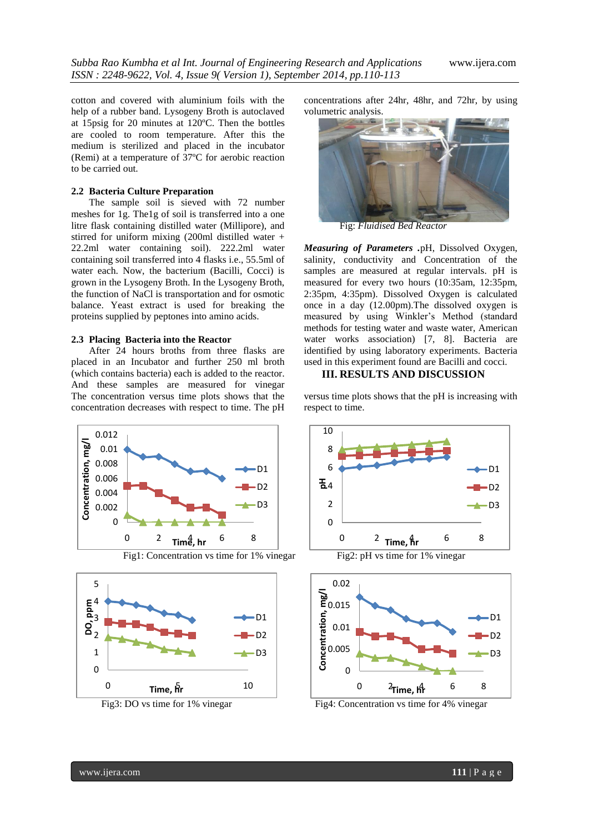cotton and covered with aluminium foils with the help of a rubber band. Lysogeny Broth is autoclaved at 15psig for 20 minutes at 120ºC. Then the bottles are cooled to room temperature. After this the medium is sterilized and placed in the incubator (Remi) at a temperature of 37ºC for aerobic reaction to be carried out.

## **2.2 Bacteria Culture Preparation**

The sample soil is sieved with 72 number meshes for 1g. The1g of soil is transferred into a one litre flask containing distilled water (Millipore), and stirred for uniform mixing (200ml distilled water + 22.2ml water containing soil). 222.2ml water containing soil transferred into 4 flasks i.e., 55.5ml of water each. Now, the bacterium (Bacilli, Cocci) is grown in the Lysogeny Broth. In the Lysogeny Broth, the function of NaCl is transportation and for osmotic balance. Yeast extract is used for breaking the proteins supplied by peptones into amino acids.

#### **2.3 Placing Bacteria into the Reactor**

After 24 hours broths from three flasks are placed in an Incubator and further 250 ml broth (which contains bacteria) each is added to the reactor. And these samples are measured for vinegar The concentration versus time plots shows that the concentration decreases with respect to time. The pH







concentrations after 24hr, 48hr, and 72hr, by using volumetric analysis.



Fig: *Fluidised Bed Reactor*

*Measuring of Parameters .*pH, Dissolved Oxygen, salinity, conductivity and Concentration of the samples are measured at regular intervals. pH is measured for every two hours (10:35am, 12:35pm, 2:35pm, 4:35pm). Dissolved Oxygen is calculated once in a day (12.00pm).The dissolved oxygen is measured by using Winkler's Method (standard methods for testing water and waste water, American water works association) [7, 8]. Bacteria are identified by using laboratory experiments. Bacteria used in this experiment found are Bacilli and cocci.

## **III. RESULTS AND DISCUSSION**

versus time plots shows that the pH is increasing with respect to time.



Fig3: DO vs time for 1% vinegar Fig4: Concentration vs time for 4% vinegar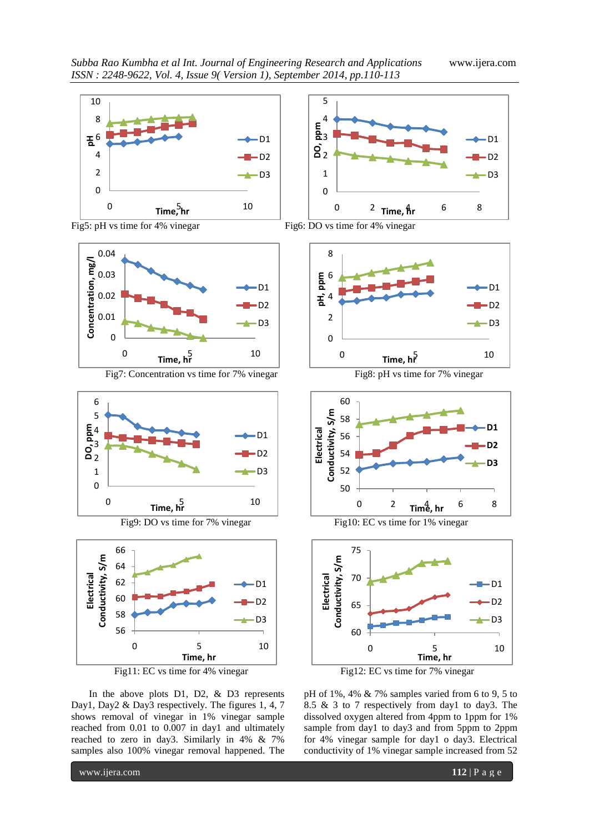





Fig7: Concentration vs time for 7% vinegar Fig8: pH vs time for 7% vinegar



Fig9: DO vs time for 7% vinegar Fig10: EC vs time for 1% vinegar





In the above plots D1, D2, & D3 represents Day1, Day2 & Day3 respectively. The figures 1, 4, 7 shows removal of vinegar in 1% vinegar sample reached from 0.01 to 0.007 in day1 and ultimately reached to zero in day3. Similarly in 4% & 7% samples also 100% vinegar removal happened. The













pH of 1%, 4% & 7% samples varied from 6 to 9, 5 to 8.5 & 3 to 7 respectively from day1 to day3. The dissolved oxygen altered from 4ppm to 1ppm for 1% sample from day1 to day3 and from 5ppm to 2ppm for 4% vinegar sample for day1 o day3. Electrical conductivity of 1% vinegar sample increased from 52

www.ijera.com **112** | P a g e